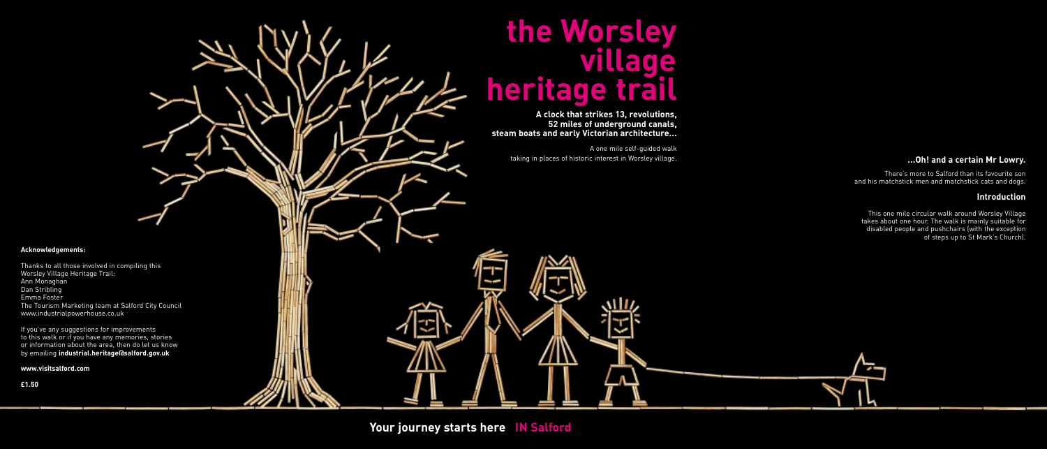# **the Worsley village heritage trail**

**A clock that strikes 13, revolutions, 52 miles of underground canals, steam boats and early Victorian architecture...**

> A one mile self-guided walk taking in places of historic interest in Worsley village.

> > ᄲ

# **Acknowledgements:**

Thanks to all those involved in compiling this Worsley Village Heritage Trail: Ann Monaghan Dan Stribling Emma Foster The Tourism Marketing team at Salford City Council www.industrialpowerhouse.co.uk

If you've any suggestions for improvements to this walk or if you have any memories, stories or information about the area, then do let us know by emailing **industrial.heritage@salford.gov.uk**

**www.visitsalford.com** 

**£1.50**

# **...Oh! and a certain Mr Lowry.**

There's more to Salford than its favourite son and his matchstick men and matchstick cats and dogs.

# **Introduction**

This one mile circular walk around Worsley Village takes about one hour. The walk is mainly suitable for disabled people and pushchairs (with the exception of steps up to St Mark's Church).



**Your journey starts here IN Salford**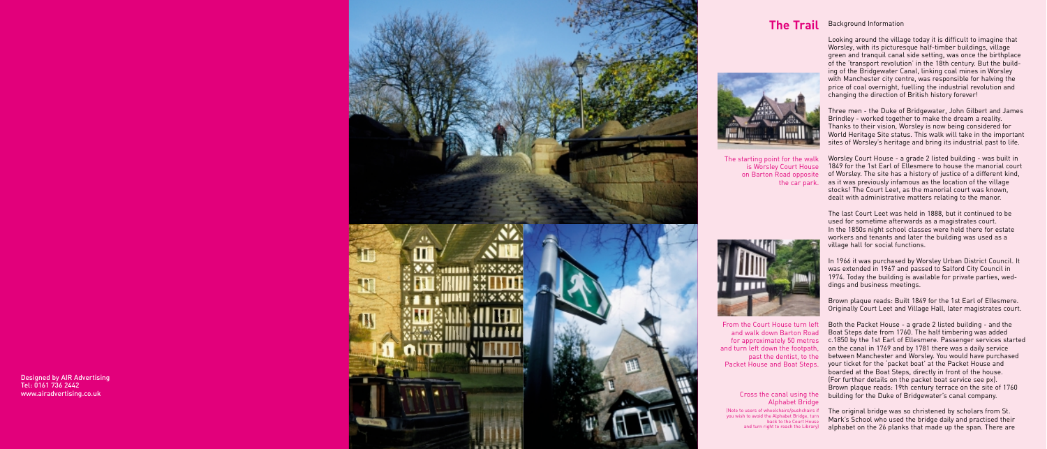Looking around the village today it is difficult to imagine that Worsley, with its picturesque half-timber buildings, village green and tranquil canal side setting, was once the birthplace of the 'transport revolution' in the 18th century. But the building of the Bridgewater Canal, linking coal mines in Worsley with Manchester city centre, was responsible for halving the price of coal overnight, fuelling the industrial revolution and changing the direction of British history forever!

Three men - the Duke of Bridgewater, John Gilbert and James Brindley - worked together to make the dream a reality. Thanks to their vision, Worsley is now being considered for World Heritage Site status. This walk will take in the important sites of Worsley's heritage and bring its industrial past to life.

Worsley Court House - a grade 2 listed building - was built in 1849 for the 1st Earl of Ellesmere to house the manorial court of Worsley. The site has a history of justice of a different kind, the car park. as it was previously infamous as the location of the village stocks! The Court Leet, as the manorial court was known, dealt with administrative matters relating to the manor.



# Background Information **The Trail**





Brown plaque reads: Built 1849 for the 1st Earl of Ellesmere. Originally Court Leet and Village Hall, later magistrates court.

Both the Packet House - a grade 2 listed building - and the Boat Steps date from 1760. The half timbering was added for approximately 50 metres c.1850 by the 1st Earl of Ellesmere. Passenger services started on the canal in 1769 and by 1781 there was a daily service past the dentist, to the between Manchester and Worsley. You would have purchased your ticket for the 'packet boat' at the Packet House and boarded at the Boat Steps, directly in front of the house. (For further details on the packet boat service see px). Brown plaque reads: 19th century terrace on the site of 1760 building for the Duke of Bridgewater's canal company.

> The original bridge was so christened by scholars from St. Mark's School who used the bridge daily and practised their alphabet on the 26 planks that made up the span. There are

The starting point for the walk is Worsley Court House on Barton Road opposite



From the Court House turn left and walk down Barton Road and turn left down the footpath, Packet House and Boat Steps.

# Cross the canal using the Alphabet Bridge (Note to users of wheelchairs/pushchairs if you wish to avoid the Alphabet Bridge, turn back to the Court House and turn right to reach the Library)

Designed by AIR Advertising Tel: 0161 736 2442 www.airadvertising.co.uk



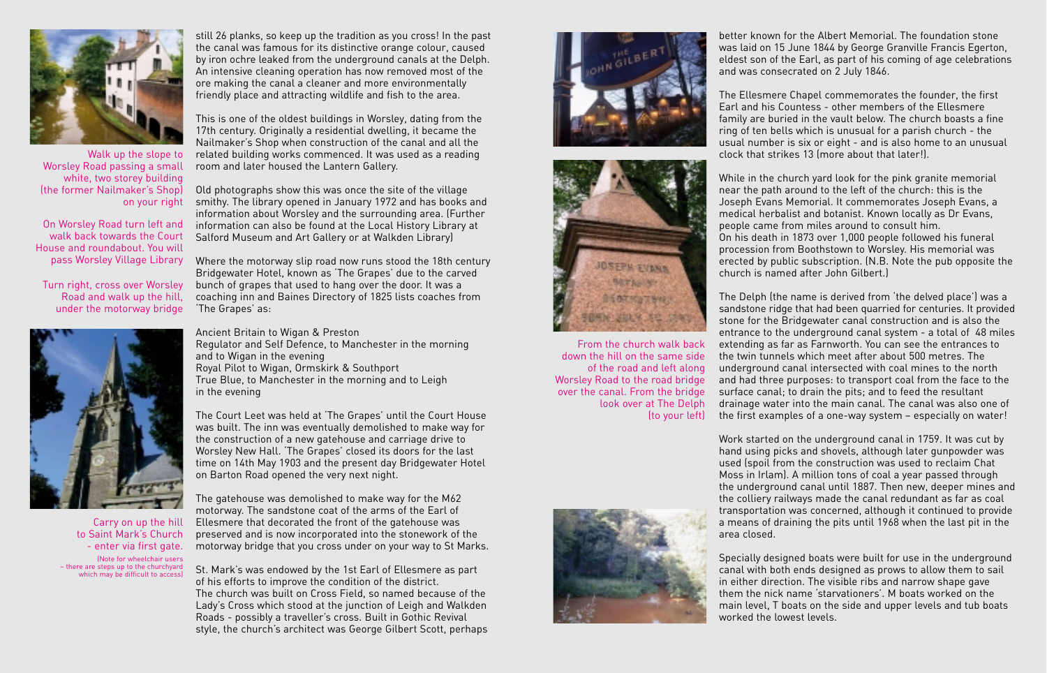

Walk up the slope to Worsley Road passing a small white, two storey building (the former Nailmaker's Shop) on your right

On Worsley Road turn left and walk back towards the Court House and roundabout. You will pass Worsley Village Library

Turn right, cross over Worsley Road and walk up the hill, under the motorway bridge



Carry on up the hill to Saint Mark's Church - enter via first gate. (Note for wheelchair users – there are steps up to the churchyard which may be difficult to access) still 26 planks, so keep up the tradition as you cross! In the past the canal was famous for its distinctive orange colour, caused by iron ochre leaked from the underground canals at the Delph. An intensive cleaning operation has now removed most of the ore making the canal a cleaner and more environmentally friendly place and attracting wildlife and fish to the area.

This is one of the oldest buildings in Worsley, dating from the 17th century. Originally a residential dwelling, it became the Nailmaker's Shop when construction of the canal and all the related building works commenced. It was used as a reading room and later housed the Lantern Gallery.

Old photographs show this was once the site of the village smithy. The library opened in January 1972 and has books and information about Worsley and the surrounding area. (Further information can also be found at the Local History Library at Salford Museum and Art Gallery or at Walkden Library)

Where the motorway slip road now runs stood the 18th century Bridgewater Hotel, known as 'The Grapes' due to the carved bunch of grapes that used to hang over the door. It was a coaching inn and Baines Directory of 1825 lists coaches from 'The Grapes' as:

Ancient Britain to Wigan & Preston Regulator and Self Defence, to Manchester in the morning and to Wigan in the evening Royal Pilot to Wigan, Ormskirk & Southport True Blue, to Manchester in the morning and to Leigh in the evening

The Court Leet was held at 'The Grapes' until the Court House was built. The inn was eventually demolished to make way for the construction of a new gatehouse and carriage drive to Worsley New Hall. 'The Grapes' closed its doors for the last time on 14th May 1903 and the present day Bridgewater Hotel on Barton Road opened the very next night.

The gatehouse was demolished to make way for the M62 motorway. The sandstone coat of the arms of the Earl of Ellesmere that decorated the front of the gatehouse was preserved and is now incorporated into the stonework of the motorway bridge that you cross under on your way to St Marks.

St. Mark's was endowed by the 1st Earl of Ellesmere as part of his efforts to improve the condition of the district. The church was built on Cross Field, so named because of the Lady's Cross which stood at the junction of Leigh and Walkden Roads - possibly a traveller's cross. Built in Gothic Revival style, the church's architect was George Gilbert Scott, perhaps





From the church walk back down the hill on the same side of the road and left along Worsley Road to the road bridge over the canal. From the bridge look over at The Delph



better known for the Albert Memorial. The foundation stone was laid on 15 June 1844 by George Granville Francis Egerton, eldest son of the Earl, as part of his coming of age celebrations and was consecrated on 2 July 1846.

The Ellesmere Chapel commemorates the founder, the first Earl and his Countess - other members of the Ellesmere family are buried in the vault below. The church boasts a fine ring of ten bells which is unusual for a parish church - the usual number is six or eight - and is also home to an unusual clock that strikes 13 (more about that later!).

While in the church yard look for the pink granite memorial near the path around to the left of the church: this is the Joseph Evans Memorial. It commemorates Joseph Evans, a medical herbalist and botanist. Known locally as Dr Evans, people came from miles around to consult him. On his death in 1873 over 1,000 people followed his funeral procession from Boothstown to Worsley. His memorial was erected by public subscription. (N.B. Note the pub opposite the church is named after John Gilbert.)

The Delph (the name is derived from 'the delved place') was a sandstone ridge that had been quarried for centuries. It provided stone for the Bridgewater canal construction and is also the entrance to the underground canal system - a total of 48 miles extending as far as Farnworth. You can see the entrances to the twin tunnels which meet after about 500 metres. The underground canal intersected with coal mines to the north and had three purposes: to transport coal from the face to the surface canal; to drain the pits; and to feed the resultant drainage water into the main canal. The canal was also one of (to your left) the first examples of a one-way system – especially on water!

> Work started on the underground canal in 1759. It was cut by hand using picks and shovels, although later gunpowder was used (spoil from the construction was used to reclaim Chat Moss in Irlam). A million tons of coal a year passed through the underground canal until 1887. Then new, deeper mines and the colliery railways made the canal redundant as far as coal transportation was concerned, although it continued to provide a means of draining the pits until 1968 when the last pit in the area closed.

Specially designed boats were built for use in the underground canal with both ends designed as prows to allow them to sail in either direction. The visible ribs and narrow shape gave them the nick name 'starvationers'. M boats worked on the main level, T boats on the side and upper levels and tub boats worked the lowest levels.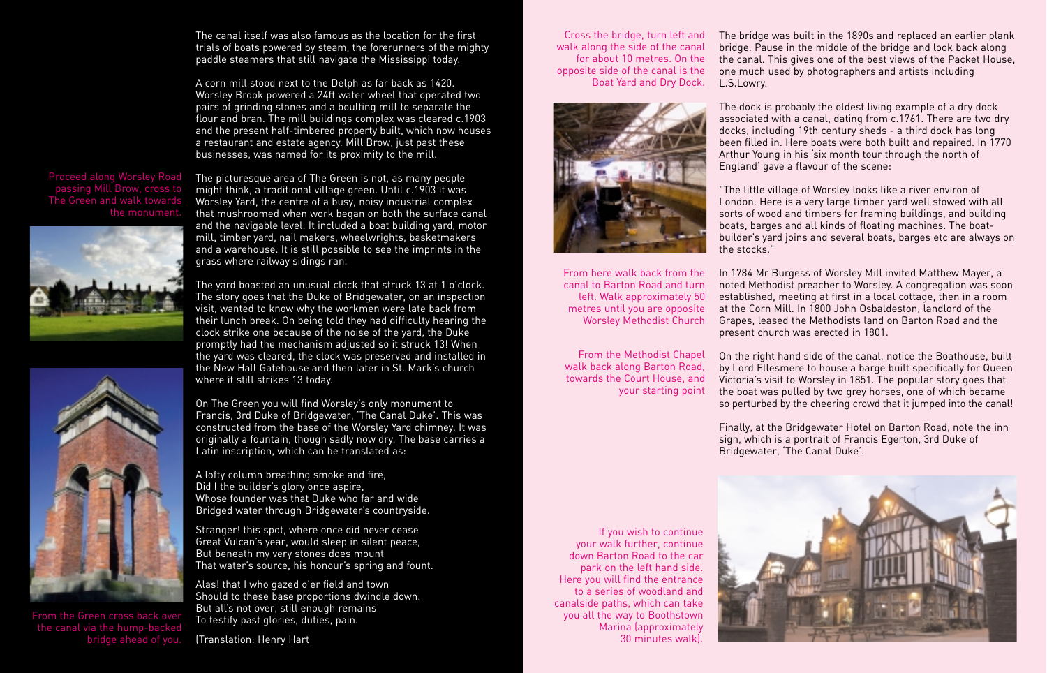The canal itself was also famous as the location for the first trials of boats powered by steam, the forerunners of the mighty paddle steamers that still navigate the Mississippi today.

A corn mill stood next to the Delph as far back as 1420. Worsley Brook powered a 24ft water wheel that operated two pairs of grinding stones and a boulting mill to separate the flour and bran. The mill buildings complex was cleared c.1903 and the present half-timbered property built, which now houses a restaurant and estate agency. Mill Brow, just past these businesses, was named for its proximity to the mill.

# passing Mill Brow, cross to the monument.





The picturesque area of The Green is not, as many people might think, a traditional village green. Until c.1903 it was Worsley Yard, the centre of a busy, noisy industrial complex that mushroomed when work began on both the surface canal and the navigable level. It included a boat building yard, motor mill, timber yard, nail makers, wheelwrights, basketmakers and a warehouse. It is still possible to see the imprints in the grass where railway sidings ran.

The yard boasted an unusual clock that struck 13 at 1 o'clock. The story goes that the Duke of Bridgewater, on an inspection visit, wanted to know why the workmen were late back from their lunch break. On being told they had difficulty hearing the clock strike one because of the noise of the yard, the Duke promptly had the mechanism adjusted so it struck 13! When the yard was cleared, the clock was preserved and installed in the New Hall Gatehouse and then later in St. Mark's church where it still strikes 13 today.

On The Green you will find Worsley's only monument to Francis, 3rd Duke of Bridgewater, 'The Canal Duke'. This was constructed from the base of the Worsley Yard chimney. It was originally a fountain, though sadly now dry. The base carries a Latin inscription, which can be translated as:

A lofty column breathing smoke and fire, Did I the builder's glory once aspire, Whose founder was that Duke who far and wide Bridged water through Bridgewater's countryside.

Stranger! this spot, where once did never cease Great Vulcan's year, would sleep in silent peace, But beneath my very stones does mount That water's source, his honour's spring and fount.

Alas! that I who gazed o'er field and town Should to these base proportions dwindle down. But all's not over, still enough remains To testify past glories, duties, pain.

(Translation: Henry Hart

Cross the bridge, turn left and walk along the side of the canal for about 10 metres. On the opposite side of the canal is the Boat Yard and Dry Dock.



From here walk back from the canal to Barton Road and turn left. Walk approximately 50 metres until you are opposite Worsley Methodist Church

From the Methodist Chapel walk back along Barton Road, towards the Court House, and your starting point The bridge was built in the 1890s and replaced an earlier plank bridge. Pause in the middle of the bridge and look back along the canal. This gives one of the best views of the Packet House, one much used by photographers and artists including L.S.Lowry.

The dock is probably the oldest living example of a dry dock associated with a canal, dating from c.1761. There are two dry docks, including 19th century sheds - a third dock has long been filled in. Here boats were both built and repaired. In 1770 Arthur Young in his 'six month tour through the north of England' gave a flavour of the scene:

"The little village of Worsley looks like a river environ of London. Here is a very large timber yard well stowed with all sorts of wood and timbers for framing buildings, and building boats, barges and all kinds of floating machines. The boatbuilder's yard joins and several boats, barges etc are always on the stocks."

In 1784 Mr Burgess of Worsley Mill invited Matthew Mayer, a noted Methodist preacher to Worsley. A congregation was soon established, meeting at first in a local cottage, then in a room at the Corn Mill. In 1800 John Osbaldeston, landlord of the Grapes, leased the Methodists land on Barton Road and the present church was erected in 1801.

On the right hand side of the canal, notice the Boathouse, built by Lord Ellesmere to house a barge built specifically for Queen Victoria's visit to Worsley in 1851. The popular story goes that the boat was pulled by two grey horses, one of which became so perturbed by the cheering crowd that it jumped into the canal!

Finally, at the Bridgewater Hotel on Barton Road, note the inn sign, which is a portrait of Francis Egerton, 3rd Duke of Bridgewater, 'The Canal Duke'.

If you wish to continue your walk further, continue down Barton Road to the car park on the left hand side. Here you will find the entrance to a series of woodland and canalside paths, which can take you all the way to Boothstown Marina (approximately 30 minutes walk).

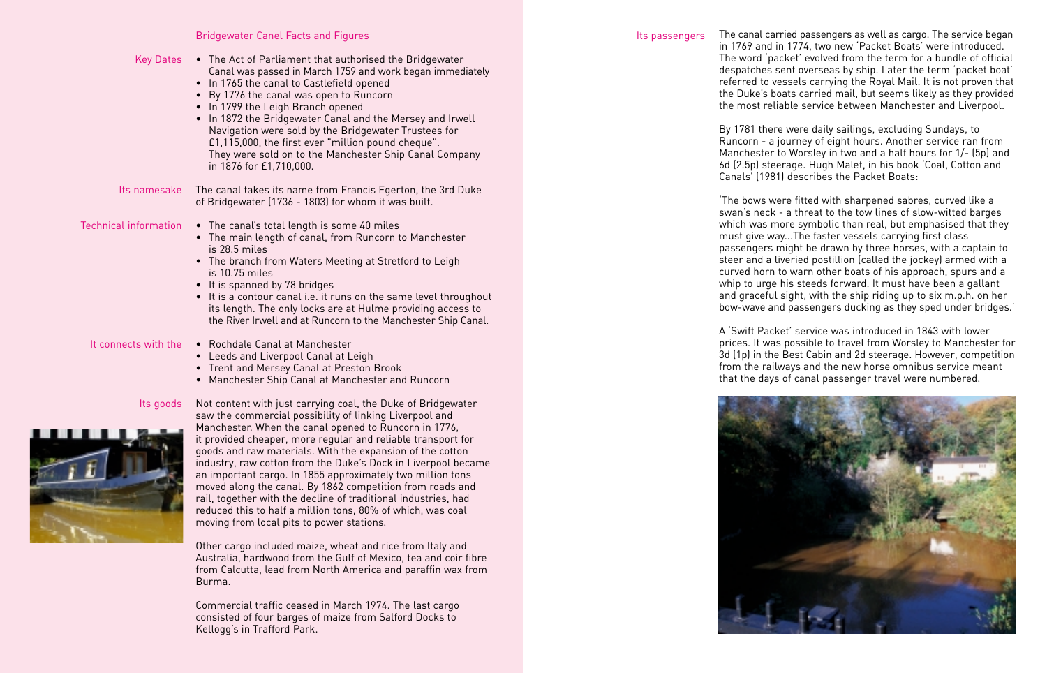## Bridgewater Canel Facts and Figures

| Key Dates | • The Act of Parliament that authorised the Bridgewater<br>Canal was passed in March 1759 and work began immediately<br>• In 1765 the canal to Castlefield opened<br>• By 1776 the canal was open to Runcorn<br>• In 1799 the Leigh Branch opened<br>• In 1872 the Bridgewater Canal and the Mersey and Irwell<br>Navigation were sold by the Bridgewater Trustees for<br>£1,115,000, the first ever "million pound cheque".<br>They were sold on to the Manchester Ship Canal Company<br>in 1876 for £1,710,000. |
|-----------|-------------------------------------------------------------------------------------------------------------------------------------------------------------------------------------------------------------------------------------------------------------------------------------------------------------------------------------------------------------------------------------------------------------------------------------------------------------------------------------------------------------------|
| namesake  | The canal takes its name from Francis Egerton, the 3rd Duke<br>of Bridgewater (1736 - 1803) for whom it was built.                                                                                                                                                                                                                                                                                                                                                                                                |
| formation | • The canal's total length is some 40 miles<br>• The main length of canal, from Runcorn to Manchester<br>is 28.5 miles<br>• The branch from Waters Meeting at Stretford to Leigh<br>is 10.75 miles<br>• It is spanned by 78 bridges                                                                                                                                                                                                                                                                               |

- It is a contour canal i.e. it runs on the same level throughout its length. The only locks are at Hulme providing access to the River Irwell and at Runcorn to the Manchester Ship Canal.
- It connects with the  $\quad \bullet \quad$  Rochdale Canal at Manchester
	- Leeds and Liverpool Canal at Leigh
	- Trent and Mersey Canal at Preston Brook
	- Manchester Ship Canal at Manchester and Runcorn

Its goods

 $Its$ 

**Technical in** 



Not content with just carrying coal, the Duke of Bridgewater saw the commercial possibility of linking Liverpool and Manchester. When the canal opened to Runcorn in 1776, it provided cheaper, more regular and reliable transport for goods and raw materials. With the expansion of the cotton industry, raw cotton from the Duke's Dock in Liverpool became an important cargo. In 1855 approximately two million tons moved along the canal. By 1862 competition from roads and rail, together with the decline of traditional industries, had reduced this to half a million tons, 80% of which, was coal moving from local pits to power stations.

Other cargo included maize, wheat and rice from Italy and Australia, hardwood from the Gulf of Mexico, tea and coir fibre from Calcutta, lead from North America and paraffin wax from Burma.

Commercial traffic ceased in March 1974. The last cargo consisted of four barges of maize from Salford Docks to Kellogg's in Trafford Park.

Its passengers The canal carried passengers as well as cargo. The service began in 1769 and in 1774, two new 'Packet Boats' were introduced. The word 'packet' evolved from the term for a bundle of official despatches sent overseas by ship. Later the term 'packet boat' referred to vessels carrying the Royal Mail. It is not proven that the Duke's boats carried mail, but seems likely as they provided the most reliable service between Manchester and Liverpool.

> By 1781 there were daily sailings, excluding Sundays, to Runcorn - a journey of eight hours. Another service ran from Manchester to Worsley in two and a half hours for 1/- (5p) and 6d (2.5p) steerage. Hugh Malet, in his book 'Coal, Cotton and Canals' (1981) describes the Packet Boats:

> 'The bows were fitted with sharpened sabres, curved like a swan's neck - a threat to the tow lines of slow-witted barges which was more symbolic than real, but emphasised that they must give way...The faster vessels carrying first class passengers might be drawn by three horses, with a captain to steer and a liveried postillion (called the jockey) armed with a curved horn to warn other boats of his approach, spurs and a whip to urge his steeds forward. It must have been a gallant and graceful sight, with the ship riding up to six m.p.h. on her bow-wave and passengers ducking as they sped under bridges.'

A 'Swift Packet' service was introduced in 1843 with lower prices. It was possible to travel from Worsley to Manchester for 3d (1p) in the Best Cabin and 2d steerage. However, competition from the railways and the new horse omnibus service meant that the days of canal passenger travel were numbered.